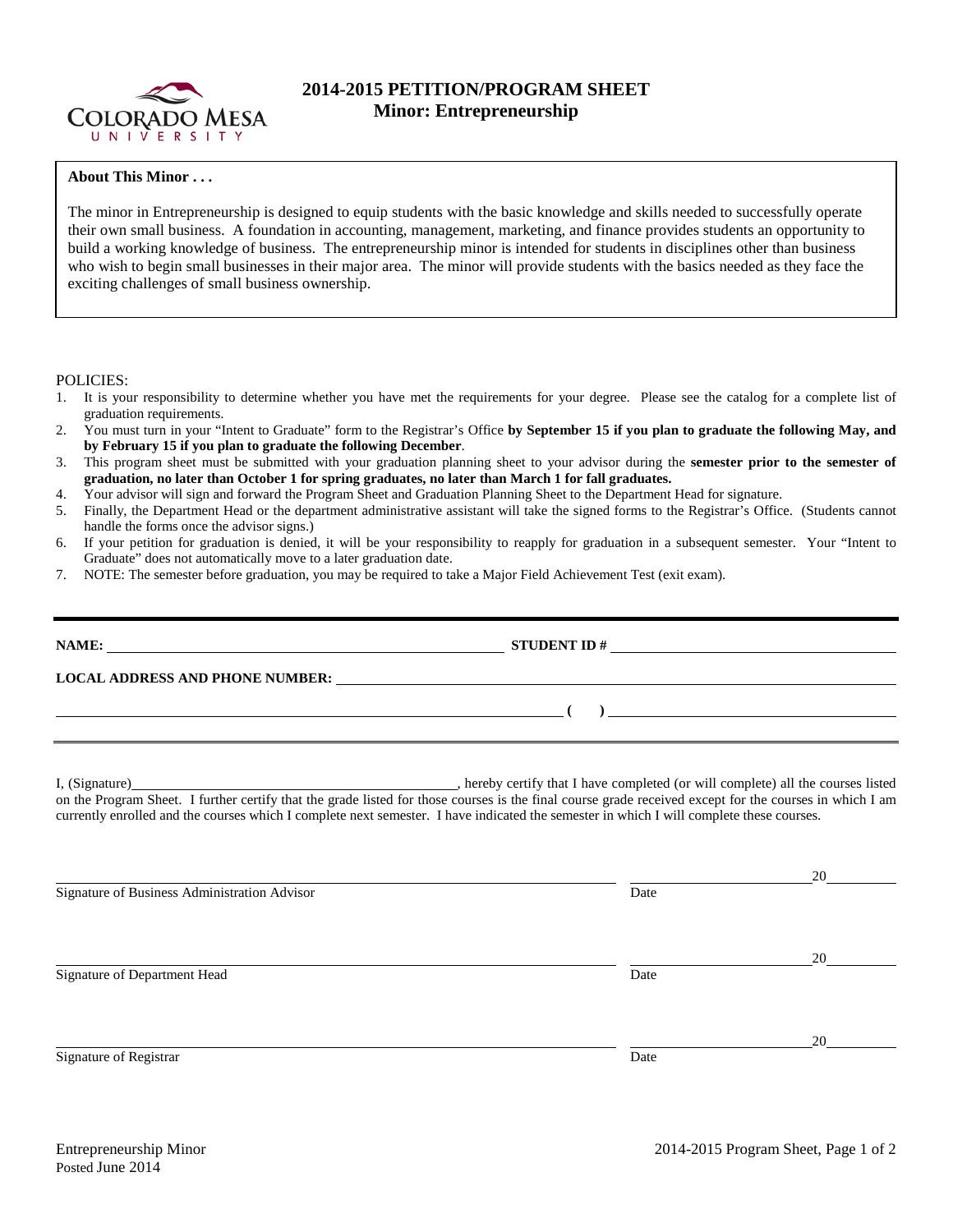

## **2014-2015 PETITION/PROGRAM SHEET Minor: Entrepreneurship**

## **About This Minor . . .**

The minor in Entrepreneurship is designed to equip students with the basic knowledge and skills needed to successfully operate their own small business. A foundation in accounting, management, marketing, and finance provides students an opportunity to build a working knowledge of business. The entrepreneurship minor is intended for students in disciplines other than business who wish to begin small businesses in their major area. The minor will provide students with the basics needed as they face the exciting challenges of small business ownership.

## POLICIES:

- 1. It is your responsibility to determine whether you have met the requirements for your degree. Please see the catalog for a complete list of graduation requirements.
- 2. You must turn in your "Intent to Graduate" form to the Registrar's Office **by September 15 if you plan to graduate the following May, and by February 15 if you plan to graduate the following December**.
- 3. This program sheet must be submitted with your graduation planning sheet to your advisor during the **semester prior to the semester of graduation, no later than October 1 for spring graduates, no later than March 1 for fall graduates.**
- 4. Your advisor will sign and forward the Program Sheet and Graduation Planning Sheet to the Department Head for signature.
- 5. Finally, the Department Head or the department administrative assistant will take the signed forms to the Registrar's Office. (Students cannot handle the forms once the advisor signs.)
- 6. If your petition for graduation is denied, it will be your responsibility to reapply for graduation in a subsequent semester. Your "Intent to Graduate" does not automatically move to a later graduation date.
- 7. NOTE: The semester before graduation, you may be required to take a Major Field Achievement Test (exit exam).

|                                                                                                                                                                                                                                                                                                     | $\overline{a}$ (b) and the contract of $\overline{a}$ (b) and the contract of $\overline{a}$ (b) and the contract of $\overline{a}$ |    |  |  |  |  |  |  |
|-----------------------------------------------------------------------------------------------------------------------------------------------------------------------------------------------------------------------------------------------------------------------------------------------------|-------------------------------------------------------------------------------------------------------------------------------------|----|--|--|--|--|--|--|
| on the Program Sheet. I further certify that the grade listed for those courses is the final course grade received except for the courses in which I am<br>currently enrolled and the courses which I complete next semester. I have indicated the semester in which I will complete these courses. |                                                                                                                                     |    |  |  |  |  |  |  |
| Signature of Business Administration Advisor                                                                                                                                                                                                                                                        | Date                                                                                                                                | 20 |  |  |  |  |  |  |
| Signature of Department Head                                                                                                                                                                                                                                                                        | Date                                                                                                                                | 20 |  |  |  |  |  |  |
| Signature of Registrar                                                                                                                                                                                                                                                                              | Date                                                                                                                                | 20 |  |  |  |  |  |  |